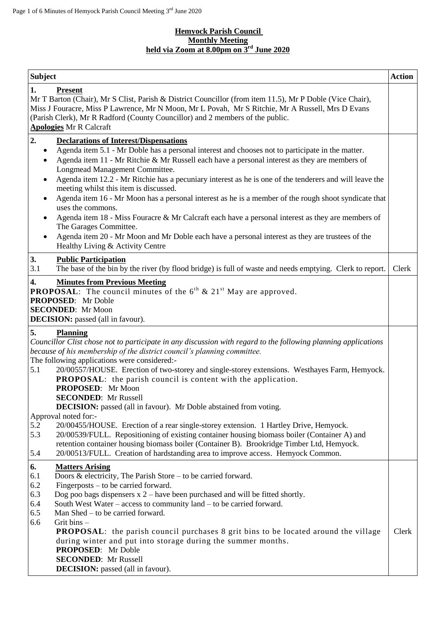## **Hemyock Parish Council Monthly Meeting held via Zoom at 8.00pm on 3 rd June 2020**

| <b>Subject</b>                                                                                                                                                                                                                                                                                                                                                                                                                                                                                                                                                                                                                                                                                                                                                                                                                                                                                                                                                                                                 | <b>Action</b> |
|----------------------------------------------------------------------------------------------------------------------------------------------------------------------------------------------------------------------------------------------------------------------------------------------------------------------------------------------------------------------------------------------------------------------------------------------------------------------------------------------------------------------------------------------------------------------------------------------------------------------------------------------------------------------------------------------------------------------------------------------------------------------------------------------------------------------------------------------------------------------------------------------------------------------------------------------------------------------------------------------------------------|---------------|
| 1.<br><b>Present</b><br>Mr T Barton (Chair), Mr S Clist, Parish & District Councillor (from item 11.5), Mr P Doble (Vice Chair),<br>Miss J Fouracre, Miss P Lawrence, Mr N Moon, Mr L Povah, Mr S Ritchie, Mr A Russell, Mrs D Evans<br>(Parish Clerk), Mr R Radford (County Councillor) and 2 members of the public.<br><b>Apologies Mr R Calcraft</b>                                                                                                                                                                                                                                                                                                                                                                                                                                                                                                                                                                                                                                                        |               |
| 2.<br><b>Declarations of Interest/Dispensations</b><br>Agenda item 5.1 - Mr Doble has a personal interest and chooses not to participate in the matter.<br>٠<br>Agenda item 11 - Mr Ritchie & Mr Russell each have a personal interest as they are members of<br>$\bullet$<br>Longmead Management Committee.<br>Agenda item 12.2 - Mr Ritchie has a pecuniary interest as he is one of the tenderers and will leave the<br>$\bullet$<br>meeting whilst this item is discussed.<br>Agenda item 16 - Mr Moon has a personal interest as he is a member of the rough shoot syndicate that<br>$\bullet$<br>uses the commons.<br>Agenda item 18 - Miss Fouracre & Mr Calcraft each have a personal interest as they are members of<br>$\bullet$<br>The Garages Committee.<br>Agenda item 20 - Mr Moon and Mr Doble each have a personal interest as they are trustees of the<br>$\bullet$<br>Healthy Living & Activity Centre                                                                                       |               |
| 3.<br><b>Public Participation</b><br>3.1<br>The base of the bin by the river (by flood bridge) is full of waste and needs emptying. Clerk to report.<br>4.<br><b>Minutes from Previous Meeting</b><br><b>PROPOSAL:</b> The council minutes of the $6^{th}$ & $21^{st}$ May are approved.<br><b>PROPOSED:</b> Mr Doble<br><b>SECONDED:</b> Mr Moon<br><b>DECISION:</b> passed (all in favour).                                                                                                                                                                                                                                                                                                                                                                                                                                                                                                                                                                                                                  | Clerk         |
| 5.<br><b>Planning</b><br>Councillor Clist chose not to participate in any discussion with regard to the following planning applications<br>because of his membership of the district council's planning committee.<br>The following applications were considered:-<br>5.1<br>20/00557/HOUSE. Erection of two-storey and single-storey extensions. Westhayes Farm, Hemyock.<br><b>PROPOSAL:</b> the parish council is content with the application.<br><b>PROPOSED:</b> Mr Moon<br><b>SECONDED:</b> Mr Russell<br><b>DECISION:</b> passed (all in favour). Mr Doble abstained from voting.<br>Approval noted for:-<br>5.2<br>20/00455/HOUSE. Erection of a rear single-storey extension. 1 Hartley Drive, Hemyock.<br>5.3<br>20/00539/FULL. Repositioning of existing container housing biomass boiler (Container A) and<br>retention container housing biomass boiler (Container B). Brookridge Timber Ltd, Hemyock.<br>5.4<br>20/00513/FULL. Creation of hardstanding area to improve access. Hemyock Common. |               |
| 6.<br><b>Matters Arising</b><br>6.1<br>Doors $\&$ electricity, The Parish Store – to be carried forward.<br>6.2<br>Fingerposts – to be carried forward.<br>6.3<br>Dog poo bags dispensers $x$ 2 – have been purchased and will be fitted shortly.<br>6.4<br>South West Water $-$ access to community land $-$ to be carried forward.<br>6.5<br>Man Shed – to be carried forward.<br>6.6<br>Grit bins $-$<br><b>PROPOSAL:</b> the parish council purchases 8 grit bins to be located around the village<br>during winter and put into storage during the summer months.<br><b>PROPOSED:</b> Mr Doble<br><b>SECONDED:</b> Mr Russell<br><b>DECISION:</b> passed (all in favour).                                                                                                                                                                                                                                                                                                                                 | Clerk         |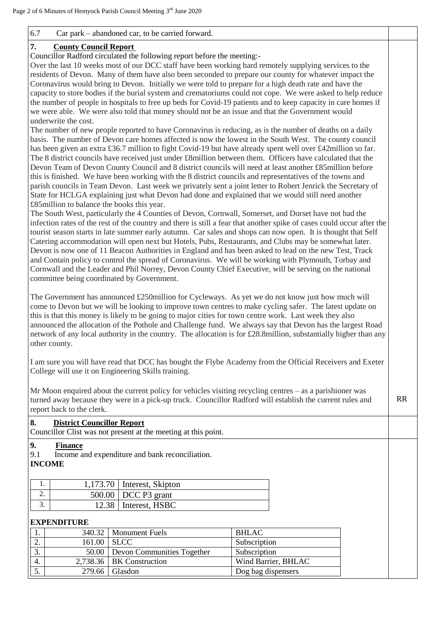## 6.7 Car park – abandoned car, to be carried forward.

## **7. County Council Report**

Councillor Radford circulated the following report before the meeting:-

Over the last 10 weeks most of our DCC staff have been working hard remotely supplying services to the residents of Devon. Many of them have also been seconded to prepare our county for whatever impact the Coronavirus would bring to Devon. Initially we were told to prepare for a high death rate and have the capacity to store bodies if the burial system and crematoriums could not cope. We were asked to help reduce the number of people in hospitals to free up beds for Covid-19 patients and to keep capacity in care homes if we were able. We were also told that money should not be an issue and that the Government would underwrite the cost.

The number of new people reported to have Coronavirus is reducing, as is the number of deaths on a daily basis. The number of Devon care homes affected is now the lowest in the South West. The county council has been given an extra £36.7 million to fight Covid-19 but have already spent well over £42million so far. The 8 district councils have received just under £8million between them. Officers have calculated that the Devon Team of Devon County Council and 8 district councils will need at least another £85million before this is finished. We have been working with the 8 district councils and representatives of the towns and parish councils in Team Devon. Last week we privately sent a joint letter to Robert Jenrick the Secretary of State for HCLGA explaining just what Devon had done and explained that we would still need another £85million to balance the books this year.

The South West, particularly the 4 Counties of Devon, Cornwall, Somerset, and Dorset have not had the infection rates of the rest of the country and there is still a fear that another spike of cases could occur after the tourist season starts in late summer early autumn. Car sales and shops can now open. It is thought that Self Catering accommodation will open next but Hotels, Pubs, Restaurants, and Clubs may be somewhat later. Devon is now one of 11 Beacon Authorities in England and has been asked to lead on the new Test, Track and Contain policy to control the spread of Coronavirus. We will be working with Plymouth, Torbay and Cornwall and the Leader and Phil Norrey, Devon County Chief Executive, will be serving on the national committee being coordinated by Government.

The Government has announced £250million for Cycleways. As yet we do not know just how much will come to Devon but we will be looking to improve town centres to make cycling safer. The latest update on this is that this money is likely to be going to major cities for town centre work. Last week they also announced the allocation of the Pothole and Challenge fund. We always say that Devon has the largest Road network of any local authority in the country. The allocation is for £28.8million, substantially higher than any other county.

I am sure you will have read that DCC has bought the Flybe Academy from the Official Receivers and Exeter College will use it on Engineering Skills training.

Mr Moon enquired about the current policy for vehicles visiting recycling centres – as a parishioner was turned away because they were in a pick-up truck. Councillor Radford will establish the current rules and report back to the clerk.

| 8.                           | <b>District Councillor Report</b> | Councillor Clist was not present at the meeting at this point. |                     |
|------------------------------|-----------------------------------|----------------------------------------------------------------|---------------------|
| 9. .<br>9.1<br><b>INCOME</b> | <b>Finance</b>                    | Income and expenditure and bank reconciliation.                |                     |
| 1.                           | 1,173.70                          | Interest, Skipton                                              |                     |
| 2.                           | 500.00                            | DCC P3 grant                                                   |                     |
| 3.                           | 12.38                             | Interest, HSBC                                                 |                     |
|                              | <b>EXPENDITURE</b>                |                                                                |                     |
| 1.                           | 340.32                            | <b>Monument Fuels</b>                                          | <b>BHLAC</b>        |
| 2.                           | 161.00                            | <b>SLCC</b>                                                    | Subscription        |
| 3.                           | 50.00                             | Devon Communities Together                                     | Subscription        |
| 4.                           | 2,738.36                          | <b>BK</b> Construction                                         | Wind Barrier, BHLAC |
| 5.                           | 279.66                            | Glasdon                                                        | Dog bag dispensers  |

RR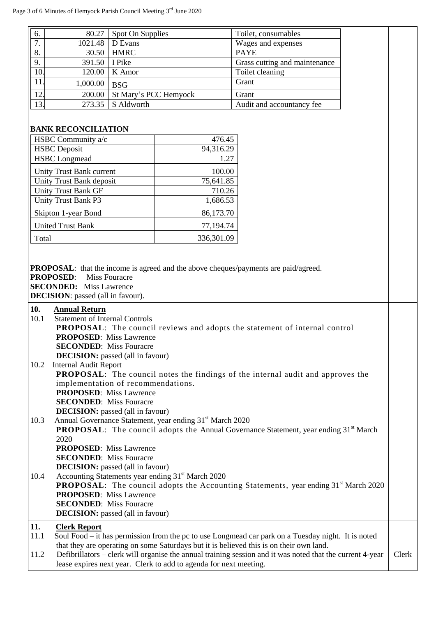| 80.27<br>6.                                                                                                                                                                                                                                                                                                                               | Spot On Supplies                                                                                                                                     |                     | Toilet, consumables                                                                                |  |
|-------------------------------------------------------------------------------------------------------------------------------------------------------------------------------------------------------------------------------------------------------------------------------------------------------------------------------------------|------------------------------------------------------------------------------------------------------------------------------------------------------|---------------------|----------------------------------------------------------------------------------------------------|--|
| $\overline{7}$ .<br>1021.48                                                                                                                                                                                                                                                                                                               | D Evans                                                                                                                                              |                     |                                                                                                    |  |
| 8.                                                                                                                                                                                                                                                                                                                                        |                                                                                                                                                      |                     | Wages and expenses                                                                                 |  |
| 30.50                                                                                                                                                                                                                                                                                                                                     | <b>HMRC</b>                                                                                                                                          |                     | <b>PAYE</b>                                                                                        |  |
| 9.<br>391.50                                                                                                                                                                                                                                                                                                                              | I Pike                                                                                                                                               |                     | Grass cutting and maintenance                                                                      |  |
| 10.<br>120.00                                                                                                                                                                                                                                                                                                                             | K Amor                                                                                                                                               |                     | Toilet cleaning                                                                                    |  |
| 11.<br>1,000.00                                                                                                                                                                                                                                                                                                                           | <b>BSG</b>                                                                                                                                           |                     | Grant                                                                                              |  |
| 12.<br>200.00                                                                                                                                                                                                                                                                                                                             | St Mary's PCC Hemyock                                                                                                                                |                     | Grant                                                                                              |  |
| 13.<br>273.35                                                                                                                                                                                                                                                                                                                             | S Aldworth                                                                                                                                           |                     | Audit and accountancy fee                                                                          |  |
|                                                                                                                                                                                                                                                                                                                                           |                                                                                                                                                      |                     |                                                                                                    |  |
| <b>BANK RECONCILIATION</b>                                                                                                                                                                                                                                                                                                                |                                                                                                                                                      |                     |                                                                                                    |  |
| HSBC Community a/c                                                                                                                                                                                                                                                                                                                        |                                                                                                                                                      | 476.45              |                                                                                                    |  |
| <b>HSBC</b> Deposit                                                                                                                                                                                                                                                                                                                       |                                                                                                                                                      | 94,316.29           |                                                                                                    |  |
| <b>HSBC</b> Longmead                                                                                                                                                                                                                                                                                                                      |                                                                                                                                                      | 1.27                |                                                                                                    |  |
|                                                                                                                                                                                                                                                                                                                                           |                                                                                                                                                      |                     |                                                                                                    |  |
| Unity Trust Bank current<br>Unity Trust Bank deposit                                                                                                                                                                                                                                                                                      |                                                                                                                                                      | 100.00<br>75,641.85 |                                                                                                    |  |
| <b>Unity Trust Bank GF</b>                                                                                                                                                                                                                                                                                                                |                                                                                                                                                      | 710.26              |                                                                                                    |  |
|                                                                                                                                                                                                                                                                                                                                           |                                                                                                                                                      |                     |                                                                                                    |  |
| Unity Trust Bank P3                                                                                                                                                                                                                                                                                                                       |                                                                                                                                                      | 1,686.53            |                                                                                                    |  |
| Skipton 1-year Bond                                                                                                                                                                                                                                                                                                                       |                                                                                                                                                      | 86,173.70           |                                                                                                    |  |
| <b>United Trust Bank</b>                                                                                                                                                                                                                                                                                                                  |                                                                                                                                                      | 77,194.74           |                                                                                                    |  |
| Total                                                                                                                                                                                                                                                                                                                                     |                                                                                                                                                      | 336,301.09          |                                                                                                    |  |
|                                                                                                                                                                                                                                                                                                                                           |                                                                                                                                                      |                     |                                                                                                    |  |
| <b>PROPOSED:</b><br><b>DECISION</b> : passed (all in favour).                                                                                                                                                                                                                                                                             | <b>PROPOSAL:</b> that the income is agreed and the above cheques/payments are paid/agreed.<br><b>Miss Fouracre</b><br><b>SECONDED:</b> Miss Lawrence |                     |                                                                                                    |  |
| 10.<br><b>Annual Return</b><br><b>Statement of Internal Controls</b><br>10.1<br><b>PROPOSAL:</b> The council reviews and adopts the statement of internal control<br><b>PROPOSED:</b> Miss Lawrence<br><b>SECONDED:</b> Miss Fouracre<br><b>DECISION:</b> passed (all in favour)                                                          |                                                                                                                                                      |                     |                                                                                                    |  |
| 10.2<br><b>Internal Audit Report</b><br><b>PROPOSAL:</b> The council notes the findings of the internal audit and approves the<br>implementation of recommendations.<br><b>PROPOSED:</b> Miss Lawrence<br><b>SECONDED:</b> Miss Fouracre<br><b>DECISION:</b> passed (all in favour)                                                       |                                                                                                                                                      |                     |                                                                                                    |  |
| Annual Governance Statement, year ending 31 <sup>st</sup> March 2020<br>10.3<br><b>PROPOSAL:</b> The council adopts the Annual Governance Statement, year ending 31 <sup>st</sup> March<br>2020<br><b>PROPOSED:</b> Miss Lawrence<br><b>SECONDED:</b> Miss Fouracre                                                                       |                                                                                                                                                      |                     |                                                                                                    |  |
| <b>DECISION:</b> passed (all in favour)<br>Accounting Statements year ending 31 <sup>st</sup> March 2020<br>10.4<br><b>PROPOSAL:</b> The council adopts the Accounting Statements, year ending 31 <sup>st</sup> March 2020<br><b>PROPOSED:</b> Miss Lawrence<br><b>SECONDED:</b> Miss Fouracre<br><b>DECISION:</b> passed (all in favour) |                                                                                                                                                      |                     |                                                                                                    |  |
| 11.<br><b>Clerk Report</b><br>11.1                                                                                                                                                                                                                                                                                                        |                                                                                                                                                      |                     | Soul Food – it has permission from the pc to use Longmead car park on a Tuesday night. It is noted |  |
| that they are operating on some Saturdays but it is believed this is on their own land.<br>Defibrillators - clerk will organise the annual training session and it was noted that the current 4-year<br>11.2<br>lease expires next year. Clerk to add to agenda for next meeting.                                                         |                                                                                                                                                      |                     | Clerk                                                                                              |  |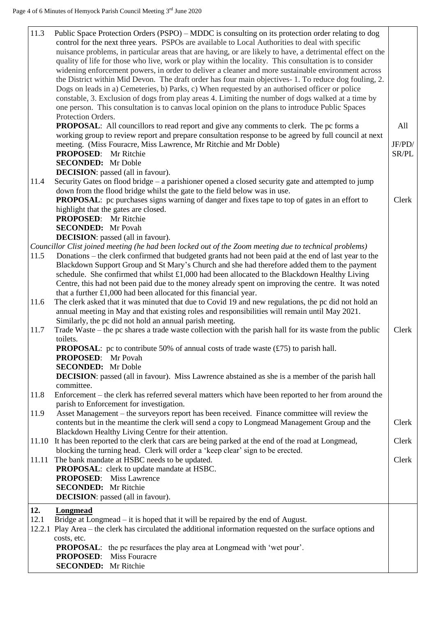| 11.3  | Public Space Protection Orders (PSPO) – MDDC is consulting on its protection order relating to dog<br>control for the next three years. PSPOs are available to Local Authorities to deal with specific<br>nuisance problems, in particular areas that are having, or are likely to have, a detrimental effect on the<br>quality of life for those who live, work or play within the locality. This consultation is to consider<br>widening enforcement powers, in order to deliver a cleaner and more sustainable environment across<br>the District within Mid Devon. The draft order has four main objectives-1. To reduce dog fouling, 2.<br>Dogs on leads in a) Cemeteries, b) Parks, c) When requested by an authorised officer or police<br>constable, 3. Exclusion of dogs from play areas 4. Limiting the number of dogs walked at a time by<br>one person. This consultation is to canvas local opinion on the plans to introduce Public Spaces<br>Protection Orders. |                 |
|-------|--------------------------------------------------------------------------------------------------------------------------------------------------------------------------------------------------------------------------------------------------------------------------------------------------------------------------------------------------------------------------------------------------------------------------------------------------------------------------------------------------------------------------------------------------------------------------------------------------------------------------------------------------------------------------------------------------------------------------------------------------------------------------------------------------------------------------------------------------------------------------------------------------------------------------------------------------------------------------------|-----------------|
|       | <b>PROPOSAL:</b> All councillors to read report and give any comments to clerk. The pc forms a<br>working group to review report and prepare consultation response to be agreed by full council at next                                                                                                                                                                                                                                                                                                                                                                                                                                                                                                                                                                                                                                                                                                                                                                        | All             |
|       | meeting. (Miss Fouracre, Miss Lawrence, Mr Ritchie and Mr Doble)<br><b>PROPOSED:</b> Mr Ritchie                                                                                                                                                                                                                                                                                                                                                                                                                                                                                                                                                                                                                                                                                                                                                                                                                                                                                | JF/PD/<br>SR/PL |
|       | <b>SECONDED:</b> Mr Doble<br><b>DECISION</b> : passed (all in favour).                                                                                                                                                                                                                                                                                                                                                                                                                                                                                                                                                                                                                                                                                                                                                                                                                                                                                                         |                 |
| 11.4  | Security Gates on flood bridge – a parishioner opened a closed security gate and attempted to jump                                                                                                                                                                                                                                                                                                                                                                                                                                                                                                                                                                                                                                                                                                                                                                                                                                                                             |                 |
|       | down from the flood bridge whilst the gate to the field below was in use.<br><b>PROPOSAL:</b> pc purchases signs warning of danger and fixes tape to top of gates in an effort to                                                                                                                                                                                                                                                                                                                                                                                                                                                                                                                                                                                                                                                                                                                                                                                              | Clerk           |
|       | highlight that the gates are closed.                                                                                                                                                                                                                                                                                                                                                                                                                                                                                                                                                                                                                                                                                                                                                                                                                                                                                                                                           |                 |
|       | <b>PROPOSED:</b> Mr Ritchie                                                                                                                                                                                                                                                                                                                                                                                                                                                                                                                                                                                                                                                                                                                                                                                                                                                                                                                                                    |                 |
|       | <b>SECONDED:</b> Mr Povah                                                                                                                                                                                                                                                                                                                                                                                                                                                                                                                                                                                                                                                                                                                                                                                                                                                                                                                                                      |                 |
|       | <b>DECISION</b> : passed (all in favour).                                                                                                                                                                                                                                                                                                                                                                                                                                                                                                                                                                                                                                                                                                                                                                                                                                                                                                                                      |                 |
|       | Councillor Clist joined meeting (he had been locked out of the Zoom meeting due to technical problems)                                                                                                                                                                                                                                                                                                                                                                                                                                                                                                                                                                                                                                                                                                                                                                                                                                                                         |                 |
| 11.5  | Donations – the clerk confirmed that budgeted grants had not been paid at the end of last year to the                                                                                                                                                                                                                                                                                                                                                                                                                                                                                                                                                                                                                                                                                                                                                                                                                                                                          |                 |
|       | Blackdown Support Group and St Mary's Church and she had therefore added them to the payment                                                                                                                                                                                                                                                                                                                                                                                                                                                                                                                                                                                                                                                                                                                                                                                                                                                                                   |                 |
|       | schedule. She confirmed that whilst £1,000 had been allocated to the Blackdown Healthy Living                                                                                                                                                                                                                                                                                                                                                                                                                                                                                                                                                                                                                                                                                                                                                                                                                                                                                  |                 |
|       | Centre, this had not been paid due to the money already spent on improving the centre. It was noted                                                                                                                                                                                                                                                                                                                                                                                                                                                                                                                                                                                                                                                                                                                                                                                                                                                                            |                 |
|       | that a further £1,000 had been allocated for this financial year.                                                                                                                                                                                                                                                                                                                                                                                                                                                                                                                                                                                                                                                                                                                                                                                                                                                                                                              |                 |
| 11.6  | The clerk asked that it was minuted that due to Covid 19 and new regulations, the pc did not hold an                                                                                                                                                                                                                                                                                                                                                                                                                                                                                                                                                                                                                                                                                                                                                                                                                                                                           |                 |
|       | annual meeting in May and that existing roles and responsibilities will remain until May 2021.                                                                                                                                                                                                                                                                                                                                                                                                                                                                                                                                                                                                                                                                                                                                                                                                                                                                                 |                 |
|       | Similarly, the pc did not hold an annual parish meeting.                                                                                                                                                                                                                                                                                                                                                                                                                                                                                                                                                                                                                                                                                                                                                                                                                                                                                                                       |                 |
| 11.7  | Trade Waste – the pc shares a trade waste collection with the parish hall for its waste from the public                                                                                                                                                                                                                                                                                                                                                                                                                                                                                                                                                                                                                                                                                                                                                                                                                                                                        | Clerk           |
|       | toilets.                                                                                                                                                                                                                                                                                                                                                                                                                                                                                                                                                                                                                                                                                                                                                                                                                                                                                                                                                                       |                 |
|       | <b>PROPOSAL</b> : pc to contribute 50% of annual costs of trade waste $(\text{\textsterling}75)$ to parish hall.                                                                                                                                                                                                                                                                                                                                                                                                                                                                                                                                                                                                                                                                                                                                                                                                                                                               |                 |
|       | <b>PROPOSED:</b> Mr Povah                                                                                                                                                                                                                                                                                                                                                                                                                                                                                                                                                                                                                                                                                                                                                                                                                                                                                                                                                      |                 |
|       |                                                                                                                                                                                                                                                                                                                                                                                                                                                                                                                                                                                                                                                                                                                                                                                                                                                                                                                                                                                |                 |
|       | <b>SECONDED:</b> Mr Doble                                                                                                                                                                                                                                                                                                                                                                                                                                                                                                                                                                                                                                                                                                                                                                                                                                                                                                                                                      |                 |
|       | <b>DECISION</b> : passed (all in favour). Miss Lawrence abstained as she is a member of the parish hall                                                                                                                                                                                                                                                                                                                                                                                                                                                                                                                                                                                                                                                                                                                                                                                                                                                                        |                 |
|       | committee.                                                                                                                                                                                                                                                                                                                                                                                                                                                                                                                                                                                                                                                                                                                                                                                                                                                                                                                                                                     |                 |
| 11.8  | Enforcement – the clerk has referred several matters which have been reported to her from around the                                                                                                                                                                                                                                                                                                                                                                                                                                                                                                                                                                                                                                                                                                                                                                                                                                                                           |                 |
|       | parish to Enforcement for investigation.                                                                                                                                                                                                                                                                                                                                                                                                                                                                                                                                                                                                                                                                                                                                                                                                                                                                                                                                       |                 |
| 11.9  | Asset Management – the surveyors report has been received. Finance committee will review the                                                                                                                                                                                                                                                                                                                                                                                                                                                                                                                                                                                                                                                                                                                                                                                                                                                                                   |                 |
|       | contents but in the meantime the clerk will send a copy to Longmead Management Group and the                                                                                                                                                                                                                                                                                                                                                                                                                                                                                                                                                                                                                                                                                                                                                                                                                                                                                   | Clerk           |
|       | Blackdown Healthy Living Centre for their attention.                                                                                                                                                                                                                                                                                                                                                                                                                                                                                                                                                                                                                                                                                                                                                                                                                                                                                                                           |                 |
|       | 11.10 It has been reported to the clerk that cars are being parked at the end of the road at Longmead,                                                                                                                                                                                                                                                                                                                                                                                                                                                                                                                                                                                                                                                                                                                                                                                                                                                                         | Clerk           |
|       | blocking the turning head. Clerk will order a 'keep clear' sign to be erected.                                                                                                                                                                                                                                                                                                                                                                                                                                                                                                                                                                                                                                                                                                                                                                                                                                                                                                 |                 |
| 11.11 | The bank mandate at HSBC needs to be updated.                                                                                                                                                                                                                                                                                                                                                                                                                                                                                                                                                                                                                                                                                                                                                                                                                                                                                                                                  | Clerk           |
|       | <b>PROPOSAL:</b> clerk to update mandate at HSBC.                                                                                                                                                                                                                                                                                                                                                                                                                                                                                                                                                                                                                                                                                                                                                                                                                                                                                                                              |                 |
|       | <b>PROPOSED:</b> Miss Lawrence                                                                                                                                                                                                                                                                                                                                                                                                                                                                                                                                                                                                                                                                                                                                                                                                                                                                                                                                                 |                 |
|       | <b>SECONDED:</b> Mr Ritchie                                                                                                                                                                                                                                                                                                                                                                                                                                                                                                                                                                                                                                                                                                                                                                                                                                                                                                                                                    |                 |
|       | <b>DECISION:</b> passed (all in favour).                                                                                                                                                                                                                                                                                                                                                                                                                                                                                                                                                                                                                                                                                                                                                                                                                                                                                                                                       |                 |
|       |                                                                                                                                                                                                                                                                                                                                                                                                                                                                                                                                                                                                                                                                                                                                                                                                                                                                                                                                                                                |                 |
| 12.   | Longmead                                                                                                                                                                                                                                                                                                                                                                                                                                                                                                                                                                                                                                                                                                                                                                                                                                                                                                                                                                       |                 |
| 12.1  | Bridge at Longmead $-$ it is hoped that it will be repaired by the end of August.                                                                                                                                                                                                                                                                                                                                                                                                                                                                                                                                                                                                                                                                                                                                                                                                                                                                                              |                 |
|       | 12.2.1 Play Area – the clerk has circulated the additional information requested on the surface options and                                                                                                                                                                                                                                                                                                                                                                                                                                                                                                                                                                                                                                                                                                                                                                                                                                                                    |                 |
|       | costs, etc.                                                                                                                                                                                                                                                                                                                                                                                                                                                                                                                                                                                                                                                                                                                                                                                                                                                                                                                                                                    |                 |
|       | <b>PROPOSAL:</b> the pc resurfaces the play area at Longmead with 'wet pour'.                                                                                                                                                                                                                                                                                                                                                                                                                                                                                                                                                                                                                                                                                                                                                                                                                                                                                                  |                 |
|       | <b>Miss Fouracre</b><br><b>PROPOSED:</b>                                                                                                                                                                                                                                                                                                                                                                                                                                                                                                                                                                                                                                                                                                                                                                                                                                                                                                                                       |                 |
|       | <b>SECONDED:</b> Mr Ritchie                                                                                                                                                                                                                                                                                                                                                                                                                                                                                                                                                                                                                                                                                                                                                                                                                                                                                                                                                    |                 |
|       |                                                                                                                                                                                                                                                                                                                                                                                                                                                                                                                                                                                                                                                                                                                                                                                                                                                                                                                                                                                |                 |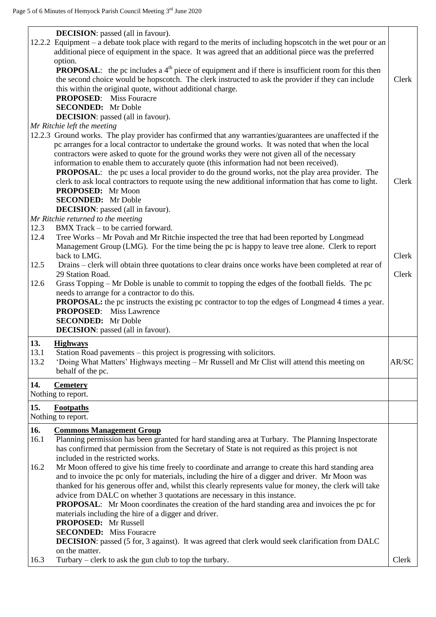|                     | <b>DECISION</b> : passed (all in favour).<br>12.2.2 Equipment – a debate took place with regard to the merits of including hopscotch in the wet pour or an<br>additional piece of equipment in the space. It was agreed that an additional piece was the preferred<br>option.<br><b>PROPOSAL:</b> the pc includes a $4th$ piece of equipment and if there is insufficient room for this then<br>the second choice would be hopscotch. The clerk instructed to ask the provider if they can include<br>this within the original quote, without additional charge.<br><b>PROPOSED:</b> Miss Fouracre<br><b>SECONDED:</b> Mr Doble<br><b>DECISION</b> : passed (all in favour).                                                                                                                                                              | Clerk |
|---------------------|-------------------------------------------------------------------------------------------------------------------------------------------------------------------------------------------------------------------------------------------------------------------------------------------------------------------------------------------------------------------------------------------------------------------------------------------------------------------------------------------------------------------------------------------------------------------------------------------------------------------------------------------------------------------------------------------------------------------------------------------------------------------------------------------------------------------------------------------|-------|
| 12.3                | Mr Ritchie left the meeting<br>12.2.3 Ground works. The play provider has confirmed that any warranties/guarantees are unaffected if the<br>pc arranges for a local contractor to undertake the ground works. It was noted that when the local<br>contractors were asked to quote for the ground works they were not given all of the necessary<br>information to enable them to accurately quote (this information had not been received).<br><b>PROPOSAL:</b> the pc uses a local provider to do the ground works, not the play area provider. The<br>clerk to ask local contractors to requote using the new additional information that has come to light.<br>PROPOSED: Mr Moon<br><b>SECONDED:</b> Mr Doble<br><b>DECISION</b> : passed (all in favour).<br>Mr Ritchie returned to the meeting<br>BMX Track – to be carried forward. | Clerk |
| 12.4<br>12.5        | Tree Works - Mr Povah and Mr Ritchie inspected the tree that had been reported by Longmead<br>Management Group (LMG). For the time being the pc is happy to leave tree alone. Clerk to report<br>back to LMG.<br>Drains – clerk will obtain three quotations to clear drains once works have been completed at rear of                                                                                                                                                                                                                                                                                                                                                                                                                                                                                                                    | Clerk |
| 12.6                | 29 Station Road.<br>Grass Topping - Mr Doble is unable to commit to topping the edges of the football fields. The pc<br>needs to arrange for a contractor to do this.<br><b>PROPOSAL:</b> the pc instructs the existing pc contractor to top the edges of Longmead 4 times a year.<br><b>PROPOSED:</b> Miss Lawrence<br><b>SECONDED:</b> Mr Doble<br><b>DECISION</b> : passed (all in favour).                                                                                                                                                                                                                                                                                                                                                                                                                                            | Clerk |
| 13.<br>13.1<br>13.2 | <b>Highways</b><br>Station Road pavements – this project is progressing with solicitors.<br>'Doing What Matters' Highways meeting – Mr Russell and Mr Clist will attend this meeting on<br>behalf of the pc.                                                                                                                                                                                                                                                                                                                                                                                                                                                                                                                                                                                                                              | AR/SC |
| 14.                 | <b>Cemetery</b><br>Nothing to report.                                                                                                                                                                                                                                                                                                                                                                                                                                                                                                                                                                                                                                                                                                                                                                                                     |       |
| 15.                 | <b>Footpaths</b><br>Nothing to report.                                                                                                                                                                                                                                                                                                                                                                                                                                                                                                                                                                                                                                                                                                                                                                                                    |       |
| 16.<br>16.1<br>16.2 | <b>Commons Management Group</b><br>Planning permission has been granted for hard standing area at Turbary. The Planning Inspectorate<br>has confirmed that permission from the Secretary of State is not required as this project is not<br>included in the restricted works.<br>Mr Moon offered to give his time freely to coordinate and arrange to create this hard standing area<br>and to invoice the pc only for materials, including the hire of a digger and driver. Mr Moon was<br>thanked for his generous offer and, whilst this clearly represents value for money, the clerk will take<br>advice from DALC on whether 3 quotations are necessary in this instance.                                                                                                                                                           |       |
| 16.3                | <b>PROPOSAL:</b> Mr Moon coordinates the creation of the hard standing area and invoices the pc for<br>materials including the hire of a digger and driver.<br><b>PROPOSED:</b> Mr Russell<br><b>SECONDED:</b> Miss Fouracre<br><b>DECISION:</b> passed (5 for, 3 against). It was agreed that clerk would seek clarification from DALC<br>on the matter.<br>Turbary – clerk to ask the gun club to top the turbary.                                                                                                                                                                                                                                                                                                                                                                                                                      | Clerk |